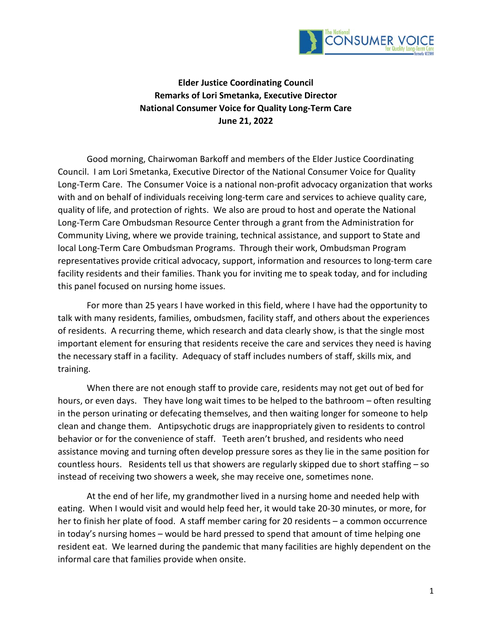

**Elder Justice Coordinating Council Remarks of Lori Smetanka, Executive Director National Consumer Voice for Quality Long-Term Care June 21, 2022**

Good morning, Chairwoman Barkoff and members of the Elder Justice Coordinating Council. I am Lori Smetanka, Executive Director of the National Consumer Voice for Quality Long-Term Care. The Consumer Voice is a national non-profit advocacy organization that works with and on behalf of individuals receiving long-term care and services to achieve quality care, quality of life, and protection of rights. We also are proud to host and operate the National Long-Term Care Ombudsman Resource Center through a grant from the Administration for Community Living, where we provide training, technical assistance, and support to State and local Long-Term Care Ombudsman Programs. Through their work, Ombudsman Program representatives provide critical advocacy, support, information and resources to long-term care facility residents and their families. Thank you for inviting me to speak today, and for including this panel focused on nursing home issues.

For more than 25 years I have worked in this field, where I have had the opportunity to talk with many residents, families, ombudsmen, facility staff, and others about the experiences of residents. A recurring theme, which research and data clearly show, is that the single most important element for ensuring that residents receive the care and services they need is having the necessary staff in a facility. Adequacy of staff includes numbers of staff, skills mix, and training.

When there are not enough staff to provide care, residents may not get out of bed for hours, or even days. They have long wait times to be helped to the bathroom – often resulting in the person urinating or defecating themselves, and then waiting longer for someone to help clean and change them. Antipsychotic drugs are inappropriately given to residents to control behavior or for the convenience of staff. Teeth aren't brushed, and residents who need assistance moving and turning often develop pressure sores as they lie in the same position for countless hours. Residents tell us that showers are regularly skipped due to short staffing – so instead of receiving two showers a week, she may receive one, sometimes none.

At the end of her life, my grandmother lived in a nursing home and needed help with eating. When I would visit and would help feed her, it would take 20-30 minutes, or more, for her to finish her plate of food. A staff member caring for 20 residents – a common occurrence in today's nursing homes – would be hard pressed to spend that amount of time helping one resident eat. We learned during the pandemic that many facilities are highly dependent on the informal care that families provide when onsite.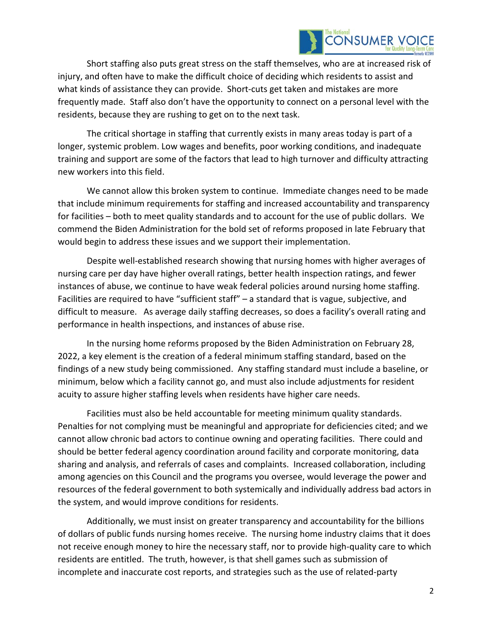

Short staffing also puts great stress on the staff themselves, who are at increased risk of injury, and often have to make the difficult choice of deciding which residents to assist and what kinds of assistance they can provide. Short-cuts get taken and mistakes are more frequently made. Staff also don't have the opportunity to connect on a personal level with the residents, because they are rushing to get on to the next task.

The critical shortage in staffing that currently exists in many areas today is part of a longer, systemic problem. Low wages and benefits, poor working conditions, and inadequate training and support are some of the factors that lead to high turnover and difficulty attracting new workers into this field.

We cannot allow this broken system to continue. Immediate changes need to be made that include minimum requirements for staffing and increased accountability and transparency for facilities – both to meet quality standards and to account for the use of public dollars. We commend the Biden Administration for the bold set of reforms proposed in late February that would begin to address these issues and we support their implementation.

Despite well-established research showing that nursing homes with higher averages of nursing care per day have higher overall ratings, better health inspection ratings, and fewer instances of abuse, we continue to have weak federal policies around nursing home staffing. Facilities are required to have "sufficient staff" – a standard that is vague, subjective, and difficult to measure. As average daily staffing decreases, so does a facility's overall rating and performance in health inspections, and instances of abuse rise.

In the nursing home reforms proposed by the Biden Administration on February 28, 2022, a key element is the creation of a federal minimum staffing standard, based on the findings of a new study being commissioned. Any staffing standard must include a baseline, or minimum, below which a facility cannot go, and must also include adjustments for resident acuity to assure higher staffing levels when residents have higher care needs.

Facilities must also be held accountable for meeting minimum quality standards. Penalties for not complying must be meaningful and appropriate for deficiencies cited; and we cannot allow chronic bad actors to continue owning and operating facilities. There could and should be better federal agency coordination around facility and corporate monitoring, data sharing and analysis, and referrals of cases and complaints. Increased collaboration, including among agencies on this Council and the programs you oversee, would leverage the power and resources of the federal government to both systemically and individually address bad actors in the system, and would improve conditions for residents.

Additionally, we must insist on greater transparency and accountability for the billions of dollars of public funds nursing homes receive. The nursing home industry claims that it does not receive enough money to hire the necessary staff, nor to provide high-quality care to which residents are entitled. The truth, however, is that shell games such as submission of incomplete and inaccurate cost reports, and strategies such as the use of related-party